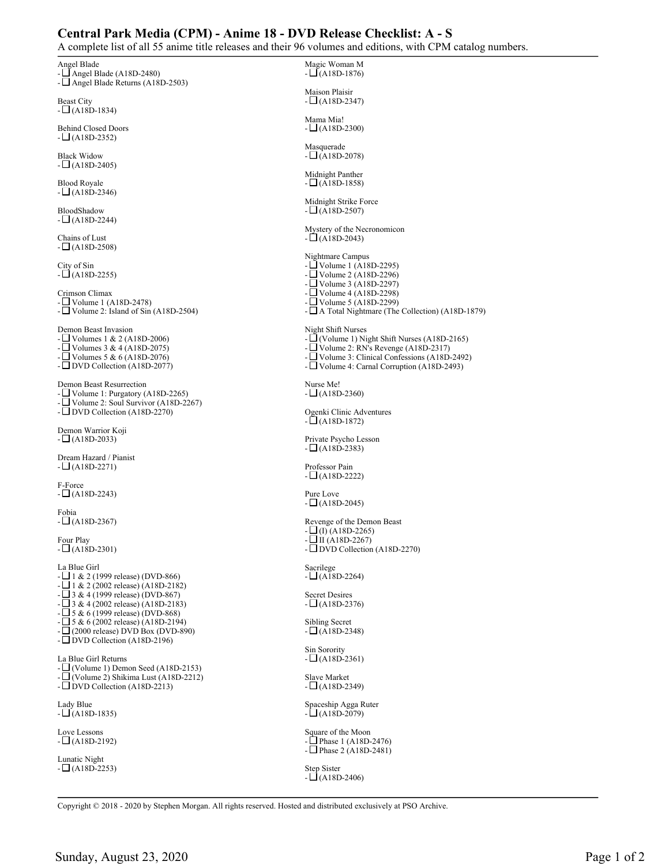## **Central Park Media (CPM) - Anime 18 - DVD Release Checklist: A - S**

A complete list of all 55 anime title releases and their 96 volumes and editions, with CPM catalog numbers.

Angel Blade  $\Box$  Angel Blade (A18D-2480) - Angel Blade Returns (A18D-2503) Beast City  $- \Box (A18D-1834)$ Behind Closed Doors  $- \Box$ (A18D-2352) Black Widow  $-L(A18D-2405)$ Blood Royale  $- \Box (A18D - 2346)$ BloodShadow  $- \Box$ (A18D-2244) Chains of Lust  $- \Box$ (A18D-2508) City of Sin  $- \Box$ (A18D-2255) Crimson Climax - Volume 1 (A18D-2478) - Volume 2: Island of Sin (A18D-2504) Demon Beast Invasion - Volumes 1 & 2 (A18D-2006) -  $\Box$  Volumes 3 & 4 (A18D-2075) -  $\Box$  Volumes 5 & 6 (A18D-2076) - DVD Collection (A18D-2077) Demon Beast Resurrection -  $\Box$  Volume 1: Purgatory (A18D-2265)<br>-  $\Box$  Volume 2: Soul Survivor (A18D-22 Volume 2: Soul Survivor (A18D-2267) - DVD Collection (A18D-2270) Demon Warrior Koji  $-L(A18D-2033)$ Dream Hazard / Pianist  $- \Box (A18D-2271)$ F-Force  $-L(A18D-2243)$ Fobia  $- \Box$ (A18D-2367) Four Play  $- \Box (A18D-2301)$ La Blue Girl  $- \Box$  1 & 2 (1999 release) (DVD-866)  $-\Box$  1 & 2 (2002 release) (A18D-2182)  $-\Box$  3 & 4 (1999 release) (DVD-867) - 3 & 4 (2002 release) (A18D-2183)  $-\Box$  5 & 6 (1999 release) (DVD-868)  $-\Box$  5 & 6 (2002 release) (A18D-2194)  $- \Box$  (2000 release) DVD Box (DVD-890) - DVD Collection (A18D-2196) La Blue Girl Returns  $-\Box$  (Volume 1) Demon Seed (A18D-2153) - (Volume 2) Shikima Lust (A18D-2212) - DVD Collection (A18D-2213) Lady Blue  $- \Box$ (A18D-1835) Love Lessons  $-L(A18D-2192)$ Lunatic Night  $-L(A18D-2253)$ Magic Woman M  $- \Box$ (A18D-1876) Maison Plaisir  $- \Box (A18D - 2347)$ Mama Mia!  $- \Box$ (A18D-2300) Masquerade  $- \Box$ (A18D-2078) Midnight Panther  $-L(A18D-1858)$ Midnight Strike Force  $- \Box$ (A18D-2507) Mystery of the Necronomicon  $- \Box$ (A18D-2043) Nightmare Campus - Volume 1 (A18D-2295) - Volume 2 (A18D-2296) - Volume 3 (A18D-2297) - Volume 4 (A18D-2298) - Volume 5 (A18D-2299) -  $\Box$  A Total Nightmare (The Collection) (A18D-1879) Night Shift Nurses - (Volume 1) Night Shift Nurses (A18D-2165) - Volume 2: RN's Revenge (A18D-2317) - Volume 3: Clinical Confessions (A18D-2492) - Volume 4: Carnal Corruption (A18D-2493) Nurse Me!  $- \Box$ (A18D-2360) Ogenki Clinic Adventures  $- \Box (A18D-1872)$ Private Psycho Lesson  $- \Box$ (A18D-2383) Professor Pain  $- \Box$ (A18D-2222) Pure Love  $- \Box$ (A18D-2045) Revenge of the Demon Beast  $\Box$ (I) (A18D-2265)  $-L \Pi (A18D-2267)$ - DVD Collection (A18D-2270) Sacrilege  $- \Box (A18D-2264)$ Secret Desires  $- \Box$ (A18D-2376) Sibling Secret  $- \Box$ (A18D-2348) Sin Sorority  $- \Box (A18D - 2361)$ Slave Market  $- \Box (A18D-2349)$ Spaceship Agga Ruter  $- \Box (A18D-2079)$ Square of the Moon  $-\Box$  Phase 1 (A18D-2476)  $-\Box$  Phase 2 (A18D-2481) Step Sister

 $- \Box$ (A18D-2406)

Copyright © 2018 - 2020 by Stephen Morgan. All rights reserved. Hosted and distributed exclusively at PSO Archive.